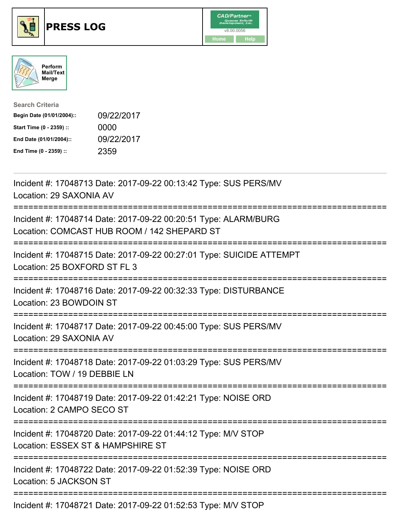

## **PRESS LOG** v8.00.0056





| <b>Search Criteria</b>    |            |
|---------------------------|------------|
| Begin Date (01/01/2004):: | 09/22/2017 |
| Start Time (0 - 2359) ::  | 0000       |
| End Date (01/01/2004)::   | 09/22/2017 |
| End Time (0 - 2359) ::    | 2359       |

Incident #: 17048713 Date: 2017-09-22 00:13:42 Type: SUS PERS/MV Location: 29 SAXONIA AV =========================================================================== Incident #: 17048714 Date: 2017-09-22 00:20:51 Type: ALARM/BURG Location: COMCAST HUB ROOM / 142 SHEPARD ST =========================================================================== Incident #: 17048715 Date: 2017-09-22 00:27:01 Type: SUICIDE ATTEMPT Location: 25 BOXFORD ST FL 3 =========================================================================== Incident #: 17048716 Date: 2017-09-22 00:32:33 Type: DISTURBANCE Location: 23 BOWDOIN ST =========================================================================== Incident #: 17048717 Date: 2017-09-22 00:45:00 Type: SUS PERS/MV Location: 29 SAXONIA AV =========================================================================== Incident #: 17048718 Date: 2017-09-22 01:03:29 Type: SUS PERS/MV Location: TOW / 19 DEBBIE LN =========================================================================== Incident #: 17048719 Date: 2017-09-22 01:42:21 Type: NOISE ORD Location: 2 CAMPO SECO ST =========================================================================== Incident #: 17048720 Date: 2017-09-22 01:44:12 Type: M/V STOP Location: ESSEX ST & HAMPSHIRE ST =========================================================================== Incident #: 17048722 Date: 2017-09-22 01:52:39 Type: NOISE ORD Location: 5 JACKSON ST ===========================================================================

Incident #: 17048721 Date: 2017-09-22 01:52:53 Type: M/V STOP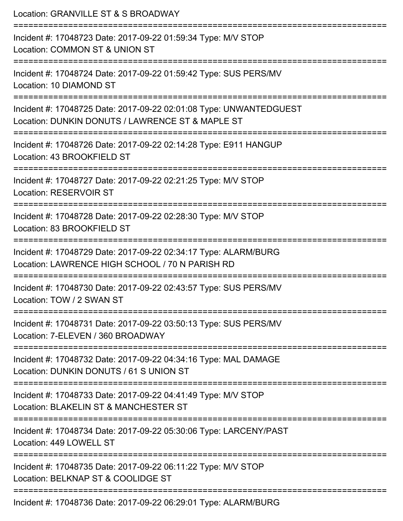| Location: GRANVILLE ST & S BROADWAY                                                                                                      |
|------------------------------------------------------------------------------------------------------------------------------------------|
| Incident #: 17048723 Date: 2017-09-22 01:59:34 Type: M/V STOP<br>Location: COMMON ST & UNION ST                                          |
| Incident #: 17048724 Date: 2017-09-22 01:59:42 Type: SUS PERS/MV<br>Location: 10 DIAMOND ST                                              |
| Incident #: 17048725 Date: 2017-09-22 02:01:08 Type: UNWANTEDGUEST<br>Location: DUNKIN DONUTS / LAWRENCE ST & MAPLE ST                   |
| Incident #: 17048726 Date: 2017-09-22 02:14:28 Type: E911 HANGUP<br>Location: 43 BROOKFIELD ST                                           |
| Incident #: 17048727 Date: 2017-09-22 02:21:25 Type: M/V STOP<br><b>Location: RESERVOIR ST</b>                                           |
| Incident #: 17048728 Date: 2017-09-22 02:28:30 Type: M/V STOP<br>Location: 83 BROOKFIELD ST                                              |
| ------------------<br>Incident #: 17048729 Date: 2017-09-22 02:34:17 Type: ALARM/BURG<br>Location: LAWRENCE HIGH SCHOOL / 70 N PARISH RD |
| ==================<br>Incident #: 17048730 Date: 2017-09-22 02:43:57 Type: SUS PERS/MV<br>Location: TOW / 2 SWAN ST                      |
| Incident #: 17048731 Date: 2017-09-22 03:50:13 Type: SUS PERS/MV<br>Location: 7-ELEVEN / 360 BROADWAY                                    |
| Incident #: 17048732 Date: 2017-09-22 04:34:16 Type: MAL DAMAGE<br>Location: DUNKIN DONUTS / 61 S UNION ST                               |
| Incident #: 17048733 Date: 2017-09-22 04:41:49 Type: M/V STOP<br>Location: BLAKELIN ST & MANCHESTER ST                                   |
| Incident #: 17048734 Date: 2017-09-22 05:30:06 Type: LARCENY/PAST<br>Location: 449 LOWELL ST                                             |
| Incident #: 17048735 Date: 2017-09-22 06:11:22 Type: M/V STOP<br>Location: BELKNAP ST & COOLIDGE ST                                      |
| Incident #: 17048736 Date: 2017-09-22 06:29:01 Type: ALARM/BURG                                                                          |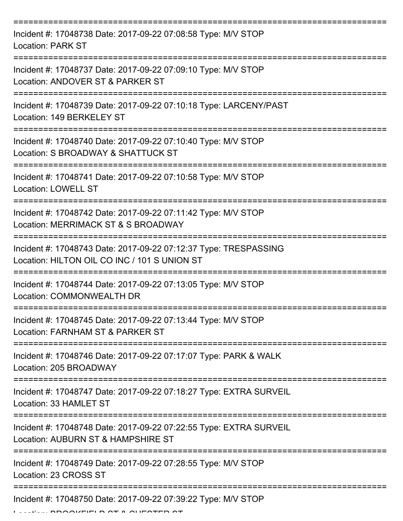| Incident #: 17048738 Date: 2017-09-22 07:08:58 Type: M/V STOP<br><b>Location: PARK ST</b>                        |
|------------------------------------------------------------------------------------------------------------------|
| Incident #: 17048737 Date: 2017-09-22 07:09:10 Type: M/V STOP<br>Location: ANDOVER ST & PARKER ST                |
| Incident #: 17048739 Date: 2017-09-22 07:10:18 Type: LARCENY/PAST<br>Location: 149 BERKELEY ST                   |
| Incident #: 17048740 Date: 2017-09-22 07:10:40 Type: M/V STOP<br>Location: S BROADWAY & SHATTUCK ST              |
| Incident #: 17048741 Date: 2017-09-22 07:10:58 Type: M/V STOP<br><b>Location: LOWELL ST</b>                      |
| Incident #: 17048742 Date: 2017-09-22 07:11:42 Type: M/V STOP<br>Location: MERRIMACK ST & S BROADWAY             |
| Incident #: 17048743 Date: 2017-09-22 07:12:37 Type: TRESPASSING<br>Location: HILTON OIL CO INC / 101 S UNION ST |
| Incident #: 17048744 Date: 2017-09-22 07:13:05 Type: M/V STOP<br>Location: COMMONWEALTH DR                       |
| Incident #: 17048745 Date: 2017-09-22 07:13:44 Type: M/V STOP<br>Location: FARNHAM ST & PARKER ST                |
| Incident #: 17048746 Date: 2017-09-22 07:17:07 Type: PARK & WALK<br>Location: 205 BROADWAY                       |
| Incident #: 17048747 Date: 2017-09-22 07:18:27 Type: EXTRA SURVEIL<br>Location: 33 HAMLET ST                     |
| Incident #: 17048748 Date: 2017-09-22 07:22:55 Type: EXTRA SURVEIL<br>Location: AUBURN ST & HAMPSHIRE ST         |
| Incident #: 17048749 Date: 2017-09-22 07:28:55 Type: M/V STOP<br>Location: 23 CROSS ST                           |
| Incident #: 17048750 Date: 2017-09-22 07:39:22 Type: M/V STOP                                                    |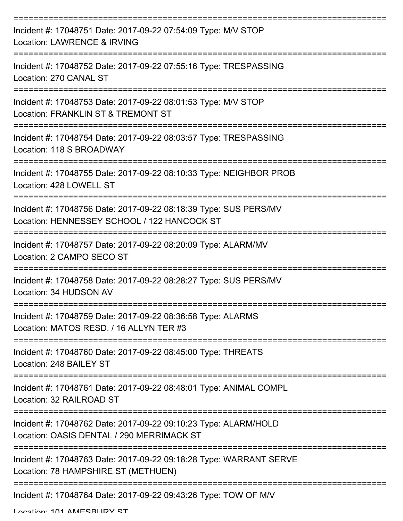| Incident #: 17048751 Date: 2017-09-22 07:54:09 Type: M/V STOP<br>Location: LAWRENCE & IRVING                    |
|-----------------------------------------------------------------------------------------------------------------|
| Incident #: 17048752 Date: 2017-09-22 07:55:16 Type: TRESPASSING<br>Location: 270 CANAL ST                      |
| Incident #: 17048753 Date: 2017-09-22 08:01:53 Type: M/V STOP<br>Location: FRANKLIN ST & TREMONT ST             |
| Incident #: 17048754 Date: 2017-09-22 08:03:57 Type: TRESPASSING<br>Location: 118 S BROADWAY                    |
| Incident #: 17048755 Date: 2017-09-22 08:10:33 Type: NEIGHBOR PROB<br>Location: 428 LOWELL ST                   |
| Incident #: 17048756 Date: 2017-09-22 08:18:39 Type: SUS PERS/MV<br>Location: HENNESSEY SCHOOL / 122 HANCOCK ST |
| Incident #: 17048757 Date: 2017-09-22 08:20:09 Type: ALARM/MV<br>Location: 2 CAMPO SECO ST                      |
| Incident #: 17048758 Date: 2017-09-22 08:28:27 Type: SUS PERS/MV<br>Location: 34 HUDSON AV                      |
| Incident #: 17048759 Date: 2017-09-22 08:36:58 Type: ALARMS<br>Location: MATOS RESD. / 16 ALLYN TER #3          |
| Incident #: 17048760 Date: 2017-09-22 08:45:00 Type: THREATS<br>Location: 248 BAILEY ST                         |
| Incident #: 17048761 Date: 2017-09-22 08:48:01 Type: ANIMAL COMPL<br>Location: 32 RAILROAD ST                   |
| Incident #: 17048762 Date: 2017-09-22 09:10:23 Type: ALARM/HOLD<br>Location: OASIS DENTAL / 290 MERRIMACK ST    |
| Incident #: 17048763 Date: 2017-09-22 09:18:28 Type: WARRANT SERVE<br>Location: 78 HAMPSHIRE ST (METHUEN)       |
| Incident #: 17048764 Date: 2017-09-22 09:43:26 Type: TOW OF M/V                                                 |

Location: 101 AMESBURY ST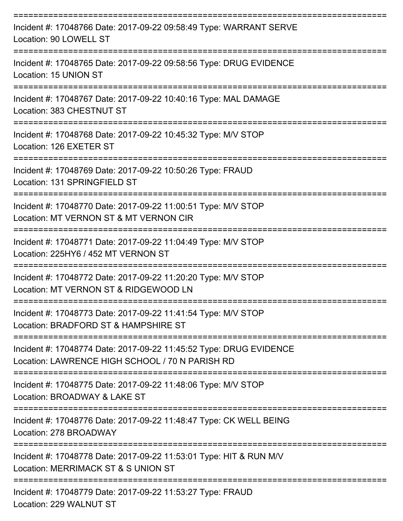| Incident #: 17048766 Date: 2017-09-22 09:58:49 Type: WARRANT SERVE<br>Location: 90 LOWELL ST                          |
|-----------------------------------------------------------------------------------------------------------------------|
| Incident #: 17048765 Date: 2017-09-22 09:58:56 Type: DRUG EVIDENCE<br>Location: 15 UNION ST                           |
| Incident #: 17048767 Date: 2017-09-22 10:40:16 Type: MAL DAMAGE<br>Location: 383 CHESTNUT ST                          |
| Incident #: 17048768 Date: 2017-09-22 10:45:32 Type: M/V STOP<br>Location: 126 EXETER ST                              |
| Incident #: 17048769 Date: 2017-09-22 10:50:26 Type: FRAUD<br>Location: 131 SPRINGFIELD ST                            |
| Incident #: 17048770 Date: 2017-09-22 11:00:51 Type: M/V STOP<br>Location: MT VERNON ST & MT VERNON CIR               |
| Incident #: 17048771 Date: 2017-09-22 11:04:49 Type: M/V STOP<br>Location: 225HY6 / 452 MT VERNON ST                  |
| Incident #: 17048772 Date: 2017-09-22 11:20:20 Type: M/V STOP<br>Location: MT VERNON ST & RIDGEWOOD LN                |
| Incident #: 17048773 Date: 2017-09-22 11:41:54 Type: M/V STOP<br>Location: BRADFORD ST & HAMPSHIRE ST                 |
| Incident #: 17048774 Date: 2017-09-22 11:45:52 Type: DRUG EVIDENCE<br>Location: LAWRENCE HIGH SCHOOL / 70 N PARISH RD |
| Incident #: 17048775 Date: 2017-09-22 11:48:06 Type: M/V STOP<br>Location: BROADWAY & LAKE ST                         |
| Incident #: 17048776 Date: 2017-09-22 11:48:47 Type: CK WELL BEING<br>Location: 278 BROADWAY                          |
| Incident #: 17048778 Date: 2017-09-22 11:53:01 Type: HIT & RUN M/V<br>Location: MERRIMACK ST & S UNION ST             |
| Incident #: 17048779 Date: 2017-09-22 11:53:27 Type: FRAUD<br>Location: 229 WALNUT ST                                 |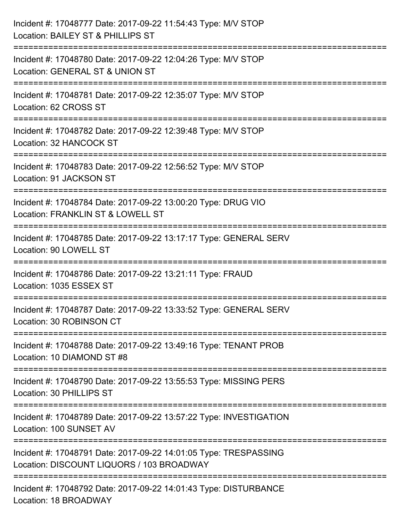| Incident #: 17048777 Date: 2017-09-22 11:54:43 Type: M/V STOP<br>Location: BAILEY ST & PHILLIPS ST                     |
|------------------------------------------------------------------------------------------------------------------------|
| Incident #: 17048780 Date: 2017-09-22 12:04:26 Type: M/V STOP<br>Location: GENERAL ST & UNION ST                       |
| Incident #: 17048781 Date: 2017-09-22 12:35:07 Type: M/V STOP<br>Location: 62 CROSS ST<br>============================ |
| Incident #: 17048782 Date: 2017-09-22 12:39:48 Type: M/V STOP<br>Location: 32 HANCOCK ST                               |
| Incident #: 17048783 Date: 2017-09-22 12:56:52 Type: M/V STOP<br>Location: 91 JACKSON ST                               |
| Incident #: 17048784 Date: 2017-09-22 13:00:20 Type: DRUG VIO<br>Location: FRANKLIN ST & LOWELL ST                     |
| :===================<br>Incident #: 17048785 Date: 2017-09-22 13:17:17 Type: GENERAL SERV<br>Location: 90 LOWELL ST    |
| Incident #: 17048786 Date: 2017-09-22 13:21:11 Type: FRAUD<br>Location: 1035 ESSEX ST                                  |
| Incident #: 17048787 Date: 2017-09-22 13:33:52 Type: GENERAL SERV<br>Location: 30 ROBINSON CT                          |
| Incident #: 17048788 Date: 2017-09-22 13:49:16 Type: TENANT PROB<br>Location: 10 DIAMOND ST #8                         |
| Incident #: 17048790 Date: 2017-09-22 13:55:53 Type: MISSING PERS<br>Location: 30 PHILLIPS ST                          |
| Incident #: 17048789 Date: 2017-09-22 13:57:22 Type: INVESTIGATION<br>Location: 100 SUNSET AV                          |
| Incident #: 17048791 Date: 2017-09-22 14:01:05 Type: TRESPASSING<br>Location: DISCOUNT LIQUORS / 103 BROADWAY          |
| Incident #: 17048792 Date: 2017-09-22 14:01:43 Type: DISTURBANCE<br>Location: 18 BROADWAY                              |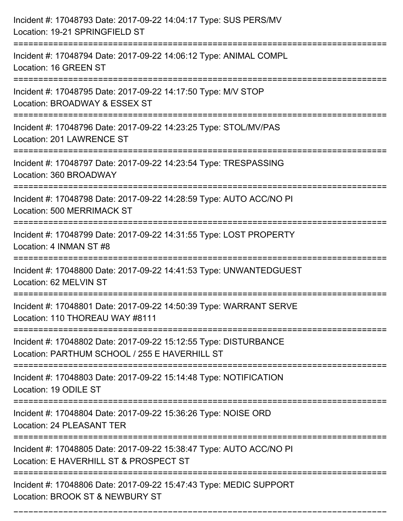| Incident #: 17048793 Date: 2017-09-22 14:04:17 Type: SUS PERS/MV<br>Location: 19-21 SPRINGFIELD ST                                |
|-----------------------------------------------------------------------------------------------------------------------------------|
| ===================================<br>Incident #: 17048794 Date: 2017-09-22 14:06:12 Type: ANIMAL COMPL<br>Location: 16 GREEN ST |
| Incident #: 17048795 Date: 2017-09-22 14:17:50 Type: M/V STOP<br>Location: BROADWAY & ESSEX ST<br>:===========================    |
| Incident #: 17048796 Date: 2017-09-22 14:23:25 Type: STOL/MV/PAS<br>Location: 201 LAWRENCE ST                                     |
| Incident #: 17048797 Date: 2017-09-22 14:23:54 Type: TRESPASSING<br>Location: 360 BROADWAY                                        |
| Incident #: 17048798 Date: 2017-09-22 14:28:59 Type: AUTO ACC/NO PI<br>Location: 500 MERRIMACK ST                                 |
| Incident #: 17048799 Date: 2017-09-22 14:31:55 Type: LOST PROPERTY<br>Location: 4 INMAN ST #8                                     |
| Incident #: 17048800 Date: 2017-09-22 14:41:53 Type: UNWANTEDGUEST<br>Location: 62 MELVIN ST                                      |
| Incident #: 17048801 Date: 2017-09-22 14:50:39 Type: WARRANT SERVE<br>Location: 110 THOREAU WAY #8111                             |
| Incident #: 17048802 Date: 2017-09-22 15:12:55 Type: DISTURBANCE<br>Location: PARTHUM SCHOOL / 255 E HAVERHILL ST                 |
| Incident #: 17048803 Date: 2017-09-22 15:14:48 Type: NOTIFICATION<br>Location: 19 ODILE ST                                        |
| Incident #: 17048804 Date: 2017-09-22 15:36:26 Type: NOISE ORD<br>Location: 24 PLEASANT TER                                       |
| Incident #: 17048805 Date: 2017-09-22 15:38:47 Type: AUTO ACC/NO PI<br>Location: E HAVERHILL ST & PROSPECT ST                     |
| Incident #: 17048806 Date: 2017-09-22 15:47:43 Type: MEDIC SUPPORT<br>Location: BROOK ST & NEWBURY ST                             |

===========================================================================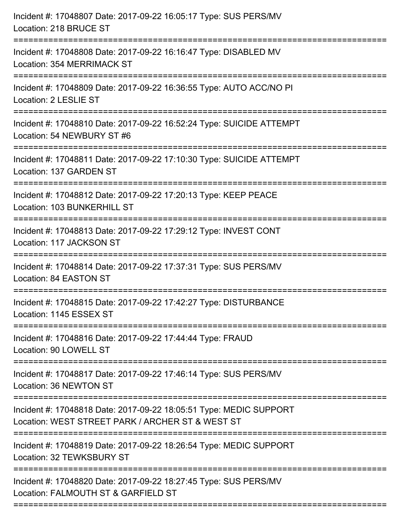| Incident #: 17048807 Date: 2017-09-22 16:05:17 Type: SUS PERS/MV<br>Location: 218 BRUCE ST                                                            |
|-------------------------------------------------------------------------------------------------------------------------------------------------------|
| Incident #: 17048808 Date: 2017-09-22 16:16:47 Type: DISABLED MV<br>Location: 354 MERRIMACK ST                                                        |
| Incident #: 17048809 Date: 2017-09-22 16:36:55 Type: AUTO ACC/NO PI<br>Location: 2 LESLIE ST                                                          |
| Incident #: 17048810 Date: 2017-09-22 16:52:24 Type: SUICIDE ATTEMPT<br>Location: 54 NEWBURY ST #6                                                    |
| Incident #: 17048811 Date: 2017-09-22 17:10:30 Type: SUICIDE ATTEMPT<br>Location: 137 GARDEN ST<br>------------------------------                     |
| Incident #: 17048812 Date: 2017-09-22 17:20:13 Type: KEEP PEACE<br>Location: 103 BUNKERHILL ST                                                        |
| Incident #: 17048813 Date: 2017-09-22 17:29:12 Type: INVEST CONT<br>Location: 117 JACKSON ST<br>================================                      |
| Incident #: 17048814 Date: 2017-09-22 17:37:31 Type: SUS PERS/MV<br>Location: 84 EASTON ST                                                            |
| Incident #: 17048815 Date: 2017-09-22 17:42:27 Type: DISTURBANCE<br>Location: 1145 ESSEX ST                                                           |
| ======================<br>===================================<br>Incident #: 17048816 Date: 2017-09-22 17:44:44 Type: FRAUD<br>Location: 90 LOWELL ST |
| Incident #: 17048817 Date: 2017-09-22 17:46:14 Type: SUS PERS/MV<br>Location: 36 NEWTON ST                                                            |
| Incident #: 17048818 Date: 2017-09-22 18:05:51 Type: MEDIC SUPPORT<br>Location: WEST STREET PARK / ARCHER ST & WEST ST                                |
| Incident #: 17048819 Date: 2017-09-22 18:26:54 Type: MEDIC SUPPORT<br>Location: 32 TEWKSBURY ST                                                       |
| Incident #: 17048820 Date: 2017-09-22 18:27:45 Type: SUS PERS/MV<br>Location: FALMOUTH ST & GARFIELD ST                                               |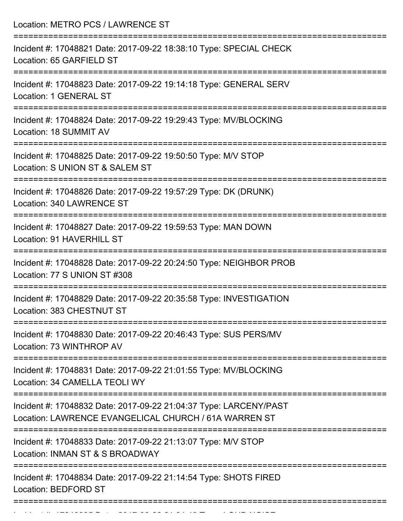| Location: METRO PCS / LAWRENCE ST                                                                                                      |
|----------------------------------------------------------------------------------------------------------------------------------------|
| Incident #: 17048821 Date: 2017-09-22 18:38:10 Type: SPECIAL CHECK<br>Location: 65 GARFIELD ST                                         |
| Incident #: 17048823 Date: 2017-09-22 19:14:18 Type: GENERAL SERV<br>Location: 1 GENERAL ST<br>:================                       |
| Incident #: 17048824 Date: 2017-09-22 19:29:43 Type: MV/BLOCKING<br>Location: 18 SUMMIT AV                                             |
| Incident #: 17048825 Date: 2017-09-22 19:50:50 Type: M/V STOP<br>Location: S UNION ST & SALEM ST<br>:================================= |
| Incident #: 17048826 Date: 2017-09-22 19:57:29 Type: DK (DRUNK)<br>Location: 340 LAWRENCE ST                                           |
| Incident #: 17048827 Date: 2017-09-22 19:59:53 Type: MAN DOWN<br>Location: 91 HAVERHILL ST                                             |
| Incident #: 17048828 Date: 2017-09-22 20:24:50 Type: NEIGHBOR PROB<br>Location: 77 S UNION ST #308                                     |
| Incident #: 17048829 Date: 2017-09-22 20:35:58 Type: INVESTIGATION<br>Location: 383 CHESTNUT ST                                        |
| Incident #: 17048830 Date: 2017-09-22 20:46:43 Type: SUS PERS/MV<br>Location: 73 WINTHROP AV                                           |
| Incident #: 17048831 Date: 2017-09-22 21:01:55 Type: MV/BLOCKING<br>Location: 34 CAMELLA TEOLI WY                                      |
| Incident #: 17048832 Date: 2017-09-22 21:04:37 Type: LARCENY/PAST<br>Location: LAWRENCE EVANGELICAL CHURCH / 61A WARREN ST             |
| Incident #: 17048833 Date: 2017-09-22 21:13:07 Type: M/V STOP<br>Location: INMAN ST & S BROADWAY                                       |
| Incident #: 17048834 Date: 2017-09-22 21:14:54 Type: SHOTS FIRED<br><b>Location: BEDFORD ST</b>                                        |

Incident #: 17048835 Date: 2017 09 22 21:31:49 Type: LOUD NOISE<br>.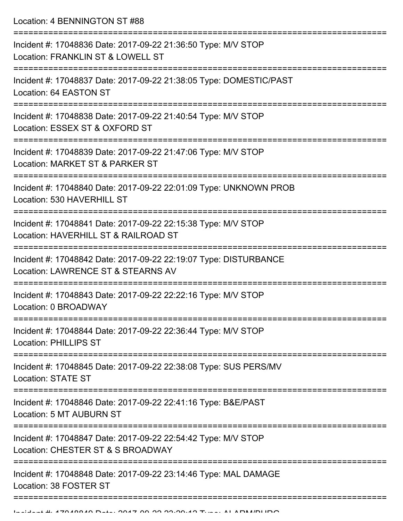Location: 4 BENNINGTON ST #88

| Incident #: 17048836 Date: 2017-09-22 21:36:50 Type: M/V STOP<br>Location: FRANKLIN ST & LOWELL ST                                                                     |
|------------------------------------------------------------------------------------------------------------------------------------------------------------------------|
| Incident #: 17048837 Date: 2017-09-22 21:38:05 Type: DOMESTIC/PAST<br>Location: 64 EASTON ST                                                                           |
| Incident #: 17048838 Date: 2017-09-22 21:40:54 Type: M/V STOP<br>Location: ESSEX ST & OXFORD ST                                                                        |
| Incident #: 17048839 Date: 2017-09-22 21:47:06 Type: M/V STOP<br>Location: MARKET ST & PARKER ST                                                                       |
| Incident #: 17048840 Date: 2017-09-22 22:01:09 Type: UNKNOWN PROB<br>Location: 530 HAVERHILL ST                                                                        |
| Incident #: 17048841 Date: 2017-09-22 22:15:38 Type: M/V STOP<br>Location: HAVERHILL ST & RAILROAD ST                                                                  |
| Incident #: 17048842 Date: 2017-09-22 22:19:07 Type: DISTURBANCE<br>Location: LAWRENCE ST & STEARNS AV                                                                 |
| Incident #: 17048843 Date: 2017-09-22 22:22:16 Type: M/V STOP<br>Location: 0 BROADWAY                                                                                  |
| Incident #: 17048844 Date: 2017-09-22 22:36:44 Type: M/V STOP<br><b>Location: PHILLIPS ST</b>                                                                          |
| Incident #: 17048845 Date: 2017-09-22 22:38:08 Type: SUS PERS/MV<br><b>Location: STATE ST</b>                                                                          |
| Incident #: 17048846 Date: 2017-09-22 22:41:16 Type: B&E/PAST<br>Location: 5 MT AUBURN ST                                                                              |
| ----------------------<br>--------------------------------------<br>Incident #: 17048847 Date: 2017-09-22 22:54:42 Type: M/V STOP<br>Location: CHESTER ST & S BROADWAY |
| Incident #: 17048848 Date: 2017-09-22 23:14:46 Type: MAL DAMAGE<br>Location: 38 FOSTER ST                                                                              |
|                                                                                                                                                                        |